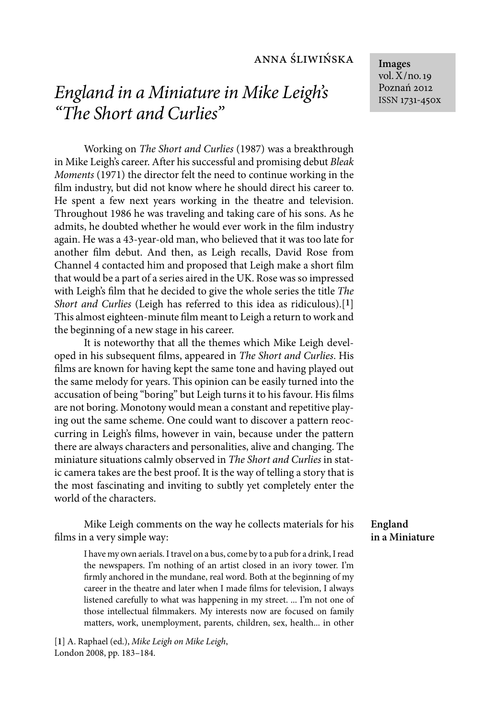# anna śliwińska

# *England in a Miniature in Mike Leigh's "The Short and Curlies"*

Working on *The Short and Curlies* (1987) was a breakthrough in Mike Leigh's career. After his successful and promising debut *Bleak Moments* (1971) the director felt the need to continue working in the film industry, but did not know where he should direct his career to. He spent a few next years working in the theatre and television. Throughout 1986 he was traveling and taking care of his sons. As he admits, he doubted whether he would ever work in the film industry again. He was a 43-year-old man, who believed that it was too late for another film debut. And then, as Leigh recalls, David Rose from Channel 4 contacted him and proposed that Leigh make a short film that would be a part of a series aired in the UK. Rose was so impressed with Leigh's film that he decided to give the whole series the title *The Short and Curlies* (Leigh has referred to this idea as ridiculous).[**1**] This almost eighteen-minute film meant to Leigh a return to work and the beginning of a new stage in his career.

It is noteworthy that all the themes which Mike Leigh developed in his subsequent films, appeared in *The Short and Curlies*. His films are known for having kept the same tone and having played out the same melody for years. This opinion can be easily turned into the accusation of being "boring" but Leigh turns it to his favour. His films are not boring. Monotony would mean a constant and repetitive playing out the same scheme. One could want to discover a pattern reoccurring in Leigh's films, however in vain, because under the pattern there are always characters and personalities, alive and changing. The miniature situations calmly observed in *The Short and Curlies* in static camera takes are the best proof. It is the way of telling a story that is the most fascinating and inviting to subtly yet completely enter the world of the characters.

Mike Leigh comments on the way he collects materials for his films in a very simple way:

I have my own aerials. I travel on a bus, come by to a pub for a drink, I read the newspapers. I'm nothing of an artist closed in an ivory tower. I'm firmly anchored in the mundane, real word. Both at the beginning of my career in the theatre and later when I made films for television, I always listened carefully to what was happening in my street. ... I'm not one of those intellectual filmmakers. My interests now are focused on family matters, work, unemployment, parents, children, sex, health... in other

[**1**] A. Raphael (ed.), *Mike Leigh on Mike Leigh*, London 2008, pp. 183–184.

**Images** vol. X/no. 19 Poznań 2012 ISSN 1731-450x

### **England in a Miniature**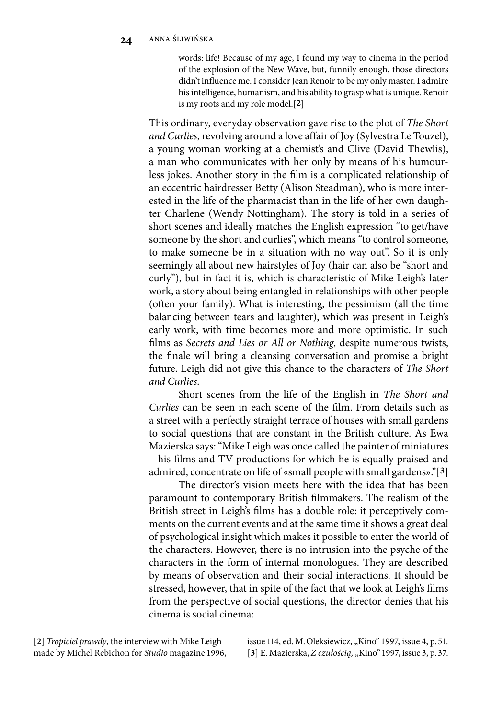words: life! Because of my age, I found my way to cinema in the period of the explosion of the New Wave, but, funnily enough, those directors didn't influence me. I consider Jean Renoir to be my only master. I admire his intelligence, humanism, and his ability to grasp what is unique. Renoir is my roots and my role model.[**2**]

This ordinary, everyday observation gave rise to the plot of *The Short and Curlies*, revolving around a love affair of Joy (Sylvestra Le Touzel), a young woman working at a chemist's and Clive (David Thewlis), a man who communicates with her only by means of his humourless jokes. Another story in the film is a complicated relationship of an eccentric hairdresser Betty (Alison Steadman), who is more interested in the life of the pharmacist than in the life of her own daughter Charlene (Wendy Nottingham). The story is told in a series of short scenes and ideally matches the English expression "to get/have someone by the short and curlies", which means "to control someone, to make someone be in a situation with no way out". So it is only seemingly all about new hairstyles of Joy (hair can also be "short and curly"), but in fact it is, which is characteristic of Mike Leigh's later work, a story about being entangled in relationships with other people (often your family). What is interesting, the pessimism (all the time balancing between tears and laughter), which was present in Leigh's early work, with time becomes more and more optimistic. In such films as *Secrets and Lies or All or Nothing*, despite numerous twists, the finale will bring a cleansing conversation and promise a bright future. Leigh did not give this chance to the characters of *The Short and Curlies*.

Short scenes from the life of the English in *The Short and Curlies* can be seen in each scene of the film. From details such as a street with a perfectly straight terrace of houses with small gardens to social questions that are constant in the British culture. As Ewa Mazierska says: "Mike Leigh was once called the painter of miniatures – his films and TV productions for which he is equally praised and admired, concentrate on life of «small people with small gardens»."[**3**]

The director's vision meets here with the idea that has been paramount to contemporary British filmmakers. The realism of the British street in Leigh's films has a double role: it perceptively comments on the current events and at the same time it shows a great deal of psychological insight which makes it possible to enter the world of the characters. However, there is no intrusion into the psyche of the characters in the form of internal monologues. They are described by means of observation and their social interactions. It should be stressed, however, that in spite of the fact that we look at Leigh's films from the perspective of social questions, the director denies that his cinema is social cinema:

[**2**] *Tropiciel prawdy*, the interview with Mike Leigh made by Michel Rebichon for *Studio* magazine 1996, issue 114, ed. M. Oleksiewicz, "Kino" 1997, issue 4, p. 51. [3] E. Mazierska, *Z czułością*, "Kino" 1997, issue 3, p. 37.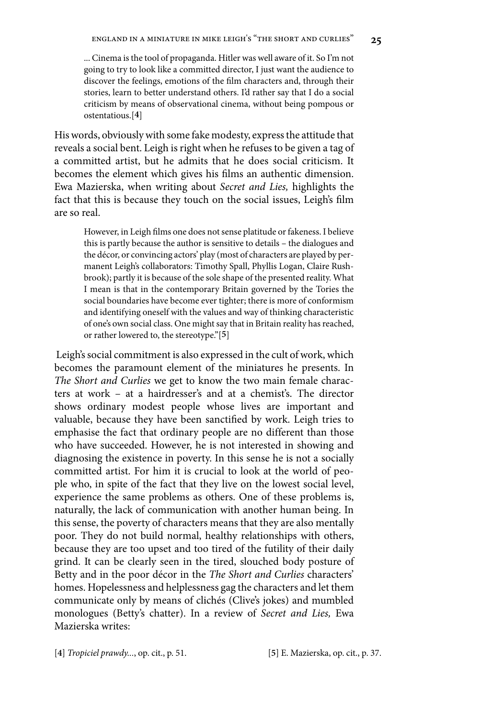... Cinema is the tool of propaganda. Hitler was well aware of it. So I'm not going to try to look like a committed director, I just want the audience to discover the feelings, emotions of the film characters and, through their stories, learn to better understand others. I'd rather say that I do a social criticism by means of observational cinema, without being pompous or ostentatious.[**4**]

His words, obviously with some fake modesty, express the attitude that reveals a social bent. Leigh is right when he refuses to be given a tag of a committed artist, but he admits that he does social criticism. It becomes the element which gives his films an authentic dimension. Ewa Mazierska, when writing about *Secret and Lies,* highlights the fact that this is because they touch on the social issues, Leigh's film are so real.

However, in Leigh films one does not sense platitude or fakeness. I believe this is partly because the author is sensitive to details – the dialogues and the décor, or convincing actors' play (most of characters are played by permanent Leigh's collaborators: Timothy Spall, Phyllis Logan, Claire Rushbrook); partly it is because of the sole shape of the presented reality. What I mean is that in the contemporary Britain governed by the Tories the social boundaries have become ever tighter; there is more of conformism and identifying oneself with the values and way of thinking characteristic of one's own social class. One might say that in Britain reality has reached, or rather lowered to, the stereotype."[**5**]

Leigh's social commitment is also expressed in the cult of work, which becomes the paramount element of the miniatures he presents. In *The Short and Curlies* we get to know the two main female characters at work – at a hairdresser's and at a chemist's. The director shows ordinary modest people whose lives are important and valuable, because they have been sanctified by work. Leigh tries to emphasise the fact that ordinary people are no different than those who have succeeded. However, he is not interested in showing and diagnosing the existence in poverty. In this sense he is not a socially committed artist. For him it is crucial to look at the world of people who, in spite of the fact that they live on the lowest social level, experience the same problems as others. One of these problems is, naturally, the lack of communication with another human being. In this sense, the poverty of characters means that they are also mentally poor. They do not build normal, healthy relationships with others, because they are too upset and too tired of the futility of their daily grind. It can be clearly seen in the tired, slouched body posture of Betty and in the poor décor in the *The Short and Curlies* characters' homes. Hopelessness and helplessness gag the characters and let them communicate only by means of clichés (Clive's jokes) and mumbled monologues (Betty's chatter). In a review of *Secret and Lies,* Ewa Mazierska writes:

[**4**] *Tropiciel prawdy...*, op. cit., p. 51. [**5**] E. Mazierska, op. cit., p. 37.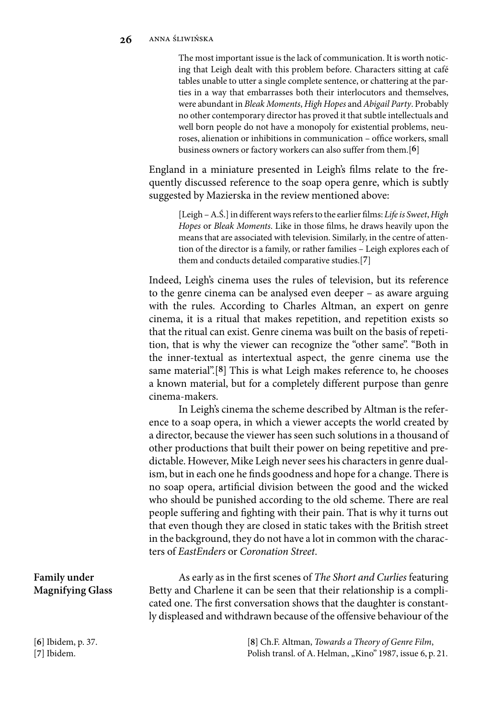The most important issue is the lack of communication. It is worth noticing that Leigh dealt with this problem before. Characters sitting at café tables unable to utter a single complete sentence, or chattering at the parties in a way that embarrasses both their interlocutors and themselves, were abundant in *Bleak Moments*, *High Hopes* and *Abigail Party*. Probably no other contemporary director has proved it that subtle intellectuals and well born people do not have a monopoly for existential problems, neuroses, alienation or inhibitions in communication – office workers, small business owners or factory workers can also suffer from them.[**6**]

England in a miniature presented in Leigh's films relate to the frequently discussed reference to the soap opera genre, which is subtly suggested by Mazierska in the review mentioned above:

> [Leigh – A.Ś.] in different ways refers to the earlier films: *Life is Sweet*, *High Hopes* or *Bleak Moments*. Like in those films, he draws heavily upon the means that are associated with television. Similarly, in the centre of attention of the director is a family, or rather families – Leigh explores each of them and conducts detailed comparative studies.[**7**]

Indeed, Leigh's cinema uses the rules of television, but its reference to the genre cinema can be analysed even deeper – as aware arguing with the rules. According to Charles Altman, an expert on genre cinema, it is a ritual that makes repetition, and repetition exists so that the ritual can exist. Genre cinema was built on the basis of repetition, that is why the viewer can recognize the "other same". "Both in the inner-textual as intertextual aspect, the genre cinema use the same material".[**8**] This is what Leigh makes reference to, he chooses a known material, but for a completely different purpose than genre cinema-makers.

In Leigh's cinema the scheme described by Altman is the reference to a soap opera, in which a viewer accepts the world created by a director, because the viewer has seen such solutions in a thousand of other productions that built their power on being repetitive and predictable. However, Mike Leigh never sees his characters in genre dualism, but in each one he finds goodness and hope for a change. There is no soap opera, artificial division between the good and the wicked who should be punished according to the old scheme. There are real people suffering and fighting with their pain. That is why it turns out that even though they are closed in static takes with the British street in the background, they do not have a lot in common with the characters of *EastEnders* or *Coronation Street*.

As early as in the first scenes of *The Short and Curlies* featuring Betty and Charlene it can be seen that their relationship is a complicated one. The first conversation shows that the daughter is constantly displeased and withdrawn because of the offensive behaviour of the

> [**8**] Ch.F. Altman, *Towards a Theory of Genre Film*, Polish transl. of A. Helman, "Kino" 1987, issue 6, p. 21.

## **Family under Magnifying Glass**

[**6**] Ibidem, p. 37. [**7**] Ibidem.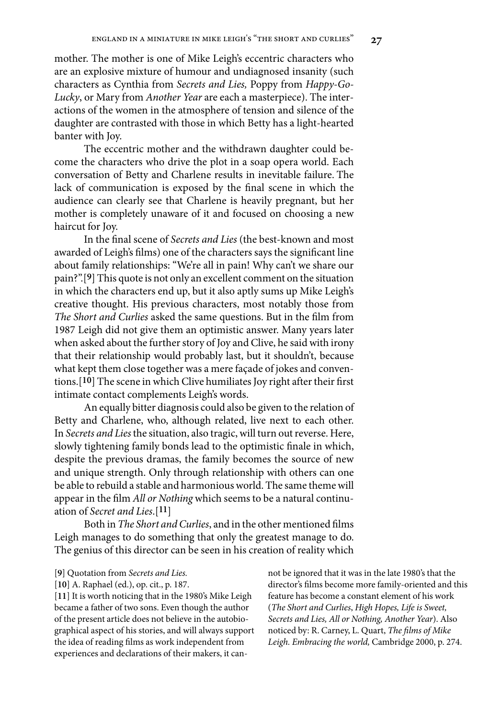mother. The mother is one of Mike Leigh's eccentric characters who are an explosive mixture of humour and undiagnosed insanity (such characters as Cynthia from *Secrets and Lies,* Poppy from *Happy-Go-Lucky*, or Mary from *Another Year* are each a masterpiece). The interactions of the women in the atmosphere of tension and silence of the daughter are contrasted with those in which Betty has a light-hearted banter with Joy.

The eccentric mother and the withdrawn daughter could become the characters who drive the plot in a soap opera world. Each conversation of Betty and Charlene results in inevitable failure. The lack of communication is exposed by the final scene in which the audience can clearly see that Charlene is heavily pregnant, but her mother is completely unaware of it and focused on choosing a new haircut for Joy.

In the final scene of *Secrets and Lies* (the best-known and most awarded of Leigh's films) one of the characters says the significant line about family relationships: "We're all in pain! Why can't we share our pain?".[**9**] This quote is not only an excellent comment on the situation in which the characters end up, but it also aptly sums up Mike Leigh's creative thought. His previous characters, most notably those from *The Short and Curlies* asked the same questions. But in the film from 1987 Leigh did not give them an optimistic answer. Many years later when asked about the further story of Joy and Clive, he said with irony that their relationship would probably last, but it shouldn't, because what kept them close together was a mere façade of jokes and conventions.[**10**] The scene in which Clive humiliates Joy right after their first intimate contact complements Leigh's words.

An equally bitter diagnosis could also be given to the relation of Betty and Charlene, who, although related, live next to each other. In *Secrets and Lies* the situation, also tragic, will turn out reverse. Here, slowly tightening family bonds lead to the optimistic finale in which, despite the previous dramas, the family becomes the source of new and unique strength. Only through relationship with others can one be able to rebuild a stable and harmonious world. The same theme will appear in the film *All or Nothing* which seems to be a natural continuation of *Secret and Lies*.[**11**]

Both in *The Short and Curlies*, and in the other mentioned films Leigh manages to do something that only the greatest manage to do. The genius of this director can be seen in his creation of reality which

- [**9**] Quotation from *Secrets and Lies.*
- [**10**] A. Raphael (ed.), op. cit., p. 187.

[**11**] It is worth noticing that in the 1980's Mike Leigh became a father of two sons. Even though the author of the present article does not believe in the autobiographical aspect of his stories, and will always support the idea of reading films as work independent from experiences and declarations of their makers, it cannot be ignored that it was in the late 1980's that the director's films become more family-oriented and this feature has become a constant element of his work (*The Short and Curlies*, *High Hopes, Life is Sweet, Secrets and Lies, All or Nothing, Another Year*). Also noticed by: R. Carney, L. Quart, *The films of Mike Leigh. Embracing the world,* Cambridge 2000, p. 274.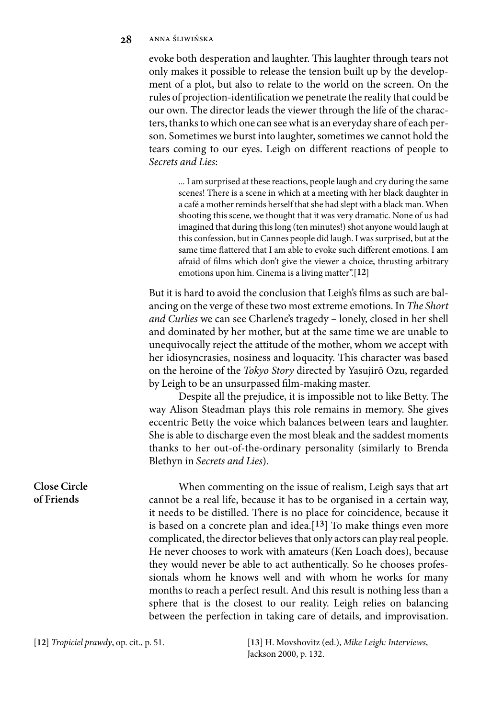#### **28** anna śliwińska

evoke both desperation and laughter. This laughter through tears not only makes it possible to release the tension built up by the development of a plot, but also to relate to the world on the screen. On the rules of projection-identification we penetrate the reality that could be our own. The director leads the viewer through the life of the characters, thanks to which one can see what is an everyday share of each person. Sometimes we burst into laughter, sometimes we cannot hold the tears coming to our eyes. Leigh on different reactions of people to *Secrets and Lies*:

... I am surprised at these reactions, people laugh and cry during the same scenes! There is a scene in which at a meeting with her black daughter in a café a mother reminds herself that she had slept with a black man. When shooting this scene, we thought that it was very dramatic. None of us had imagined that during this long (ten minutes!) shot anyone would laugh at this confession, but in Cannes people did laugh. I was surprised, but at the same time flattered that I am able to evoke such different emotions. I am afraid of films which don't give the viewer a choice, thrusting arbitrary emotions upon him. Cinema is a living matter".[**12**]

But it is hard to avoid the conclusion that Leigh's films as such are balancing on the verge of these two most extreme emotions. In *The Short and Curlies* we can see Charlene's tragedy – lonely, closed in her shell and dominated by her mother, but at the same time we are unable to unequivocally reject the attitude of the mother, whom we accept with her idiosyncrasies, nosiness and loquacity. This character was based on the heroine of the *Tokyo Story* directed by Yasujirō Ozu, regarded by Leigh to be an unsurpassed film-making master.

Despite all the prejudice, it is impossible not to like Betty. The way Alison Steadman plays this role remains in memory. She gives eccentric Betty the voice which balances between tears and laughter. She is able to discharge even the most bleak and the saddest moments thanks to her out-of-the-ordinary personality (similarly to Brenda Blethyn in *Secrets and Lies*).

When commenting on the issue of realism, Leigh says that art cannot be a real life, because it has to be organised in a certain way, it needs to be distilled. There is no place for coincidence, because it is based on a concrete plan and idea.[**13**] To make things even more complicated, the director believes that only actors can play real people. He never chooses to work with amateurs (Ken Loach does), because they would never be able to act authentically. So he chooses professionals whom he knows well and with whom he works for many months to reach a perfect result. And this result is nothing less than a sphere that is the closest to our reality. Leigh relies on balancing between the perfection in taking care of details, and improvisation.

[**12**] *Tropiciel prawdy*, op. cit., p. 51. [**13**] H. Movshovitz (ed.), *Mike Leigh: Interviews*, Jackson 2000, p. 132.

#### **Close Circle of Friends**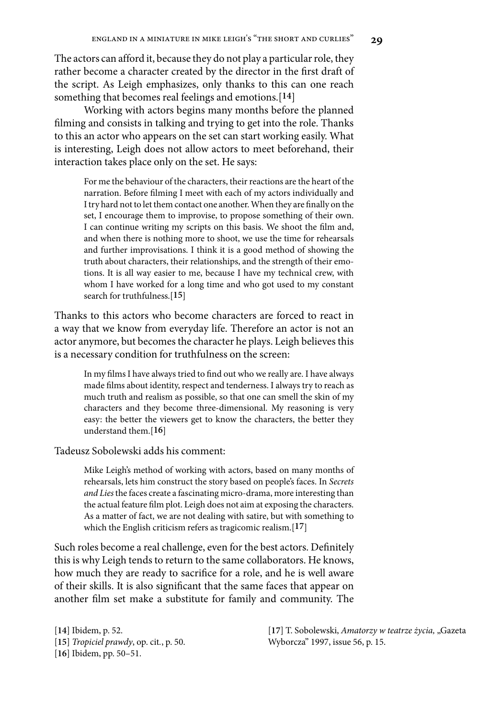The actors can afford it, because they do not play a particular role, they rather become a character created by the director in the first draft of the script. As Leigh emphasizes, only thanks to this can one reach something that becomes real feelings and emotions.[**14**]

Working with actors begins many months before the planned filming and consists in talking and trying to get into the role. Thanks to this an actor who appears on the set can start working easily. What is interesting, Leigh does not allow actors to meet beforehand, their interaction takes place only on the set. He says:

For me the behaviour of the characters, their reactions are the heart of the narration. Before filming I meet with each of my actors individually and I try hard not to let them contact one another. When they are finally on the set, I encourage them to improvise, to propose something of their own. I can continue writing my scripts on this basis. We shoot the film and, and when there is nothing more to shoot, we use the time for rehearsals and further improvisations. I think it is a good method of showing the truth about characters, their relationships, and the strength of their emotions. It is all way easier to me, because I have my technical crew, with whom I have worked for a long time and who got used to my constant search for truthfulness.[**15**]

Thanks to this actors who become characters are forced to react in a way that we know from everyday life. Therefore an actor is not an actor anymore, but becomes the character he plays. Leigh believes this is a necessary condition for truthfulness on the screen:

In my films I have always tried to find out who we really are. I have always made films about identity, respect and tenderness. I always try to reach as much truth and realism as possible, so that one can smell the skin of my characters and they become three-dimensional. My reasoning is very easy: the better the viewers get to know the characters, the better they understand them.[**16**]

Tadeusz Sobolewski adds his comment:

Mike Leigh's method of working with actors, based on many months of rehearsals, lets him construct the story based on people's faces. In *Secrets and Lies* the faces create a fascinating micro-drama, more interesting than the actual feature film plot. Leigh does not aim at exposing the characters. As a matter of fact, we are not dealing with satire, but with something to which the English criticism refers as tragicomic realism.[**17**]

Such roles become a real challenge, even for the best actors. Definitely this is why Leigh tends to return to the same collaborators. He knows, how much they are ready to sacrifice for a role, and he is well aware of their skills. It is also significant that the same faces that appear on another film set make a substitute for family and community. The

[**14**] Ibidem, p. 52. [**15**] *Tropiciel prawdy*, op. cit*.*, p. 50. [**16**] Ibidem, pp. 50–51.

[**17**] T. Sobolewski, *Amatorzy w teatrze życia,* "Gazeta Wyborcza" 1997, issue 56, p. 15.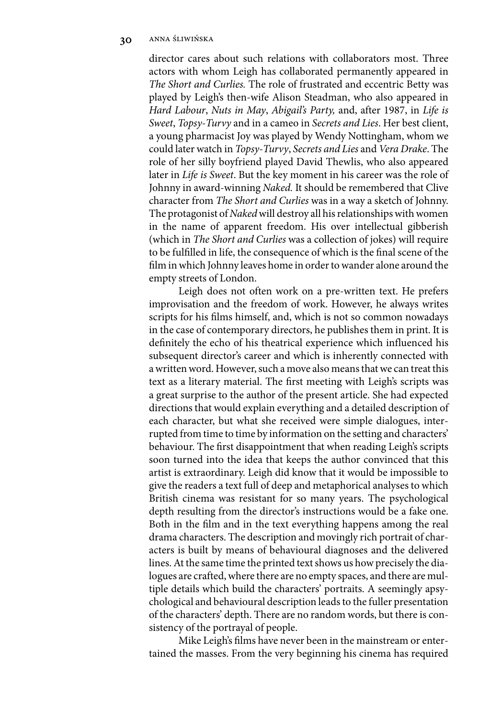director cares about such relations with collaborators most. Three actors with whom Leigh has collaborated permanently appeared in *The Short and Curlies.* The role of frustrated and eccentric Betty was played by Leigh's then-wife Alison Steadman, who also appeared in *Hard Labour*, *Nuts in May*, *Abigail's Party,* and, after 1987, in *Life is Sweet*, *Topsy-Turvy* and in a cameo in *Secrets and Lies*. Her best client, a young pharmacist Joy was played by Wendy Nottingham, whom we could later watch in *Topsy-Turvy*, *Secrets and Lies* and *Vera Drake*. The role of her silly boyfriend played David Thewlis, who also appeared later in *Life is Sweet*. But the key moment in his career was the role of Johnny in award-winning *Naked.* It should be remembered that Clive character from *The Short and Curlies* was in a way a sketch of Johnny. The protagonist of *Naked* will destroy all his relationships with women in the name of apparent freedom. His over intellectual gibberish (which in *The Short and Curlies* was a collection of jokes) will require to be fulfilled in life, the consequence of which is the final scene of the film in which Johnny leaves home in order to wander alone around the empty streets of London.

Leigh does not often work on a pre-written text. He prefers improvisation and the freedom of work. However, he always writes scripts for his films himself, and, which is not so common nowadays in the case of contemporary directors, he publishes them in print. It is definitely the echo of his theatrical experience which influenced his subsequent director's career and which is inherently connected with a written word. However, such a move also means that we can treat this text as a literary material. The first meeting with Leigh's scripts was a great surprise to the author of the present article. She had expected directions that would explain everything and a detailed description of each character, but what she received were simple dialogues, interrupted from time to time by information on the setting and characters' behaviour. The first disappointment that when reading Leigh's scripts soon turned into the idea that keeps the author convinced that this artist is extraordinary. Leigh did know that it would be impossible to give the readers a text full of deep and metaphorical analyses to which British cinema was resistant for so many years. The psychological depth resulting from the director's instructions would be a fake one. Both in the film and in the text everything happens among the real drama characters. The description and movingly rich portrait of characters is built by means of behavioural diagnoses and the delivered lines. At the same time the printed text shows us how precisely the dialogues are crafted, where there are no empty spaces, and there are multiple details which build the characters' portraits. A seemingly apsychological and behavioural description leads to the fuller presentation of the characters' depth. There are no random words, but there is consistency of the portrayal of people.

Mike Leigh's films have never been in the mainstream or entertained the masses. From the very beginning his cinema has required